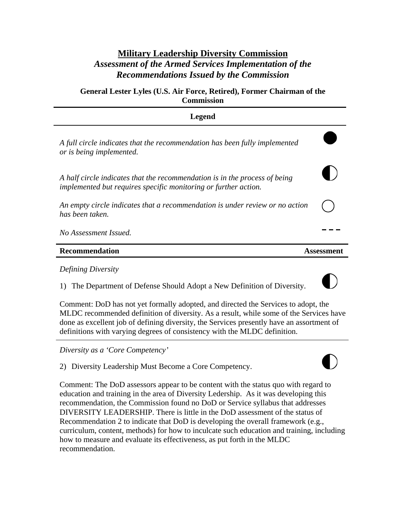# **Military Leadership Diversity Commission**  *Assessment of the Armed Services Implementation of the Recommendations Issued by the Commission*

**General Lester Lyles (U.S. Air Force, Retired), Former Chairman of the Commission** 

| Legend                                                                                                                                        |  |
|-----------------------------------------------------------------------------------------------------------------------------------------------|--|
| A full circle indicates that the recommendation has been fully implemented<br>or is being implemented.                                        |  |
| A half circle indicates that the recommendation is in the process of being<br>implemented but requires specific monitoring or further action. |  |
| An empty circle indicates that a recommendation is under review or no action<br>has been taken.                                               |  |
| No Assessment Issued.                                                                                                                         |  |
| Recommendation                                                                                                                                |  |

# *Defining Diversity*

1) The Department of Defense Should Adopt a New Definition of Diversity.



Comment: DoD has not yet formally adopted, and directed the Services to adopt, the MLDC recommended definition of diversity. As a result, while some of the Services have done as excellent job of defining diversity, the Services presently have an assortment of definitions with varying degrees of consistency with the MLDC definition.

*Diversity as a 'Core Competency'* 

2) Diversity Leadership Must Become a Core Competency.

Comment: The DoD assessors appear to be content with the status quo with regard to education and training in the area of Diversity Ledership. As it was developing this recommendation, the Commission found no DoD or Service syllabus that addresses DIVERSITY LEADERSHIP. There is little in the DoD assessment of the status of Recommendation 2 to indicate that DoD is developing the overall framework (e.g., curriculum, content, methods) for how to inculcate such education and training, including how to measure and evaluate its effectiveness, as put forth in the MLDC recommendation.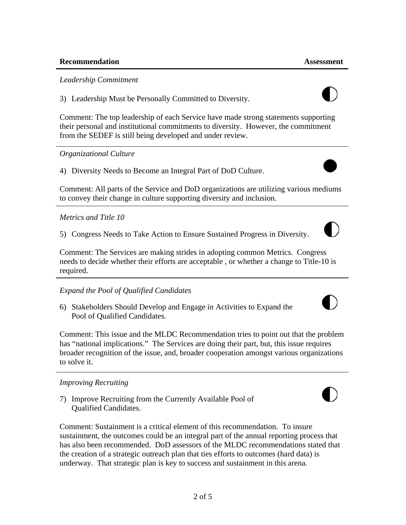## *Leadership Commitment*

3) Leadership Must be Personally Committed to Diversity.

Comment: The top leadership of each Service have made strong statements supporting their personal and institutional commitments to diversity. However, the commitment from the SEDEF is still being developed and under review.

# *Organizational Culture*

4) Diversity Needs to Become an Integral Part of DoD Culture.

Comment: All parts of the Service and DoD organizations are utilizing various mediums to convey their change in culture supporting diversity and inclusion.

# *Metrics and Title 10*

5) Congress Needs to Take Action to Ensure Sustained Progress in Diversity.

Comment: The Services are making strides in adopting common Metrics. Congress needs to decide whether their efforts are acceptable , or whether a change to Title-10 is required.

*Expand the Pool of Qualified Candidates* 

6) Stakeholders Should Develop and Engage in Activities to Expand the Pool of Qualified Candidates.

Comment: This issue and the MLDC Recommendation tries to point out that the problem has "national implications." The Services are doing their part, but, this issue requires broader recognition of the issue, and, broader cooperation amongst various organizations to solve it.

# *Improving Recruiting*

7) Improve Recruiting from the Currently Available Pool of Qualified Candidates.

Comment: Sustainment is a critical element of this recommendation. To insure sustainment, the outcomes could be an integral part of the annual reporting process that has also been recommended. DoD assessors of the MLDC recommendations stated that the creation of a strategic outreach plan that ties efforts to outcomes (hard data) is underway. That strategic plan is key to success and sustainment in this arena.







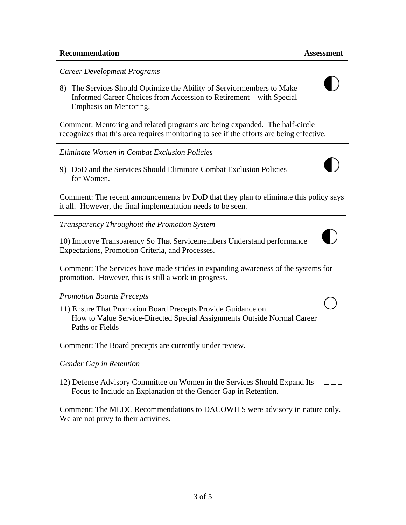*Career Development Programs* 

8) The Services Should Optimize the Ability of Servicemembers to Make Informed Career Choices from Accession to Retirement – with Special Emphasis on Mentoring.

Comment: Mentoring and related programs are being expanded. The half-circle recognizes that this area requires monitoring to see if the efforts are being effective.

#### *Eliminate Women in Combat Exclusion Policies*

99) DoD and the Services Should Eliminate Combat Exclusion Policies for Women.

Comment: The recent announcements by DoD that they plan to eliminate this policy says it all. However, the final implementation needs to be seen.

*Transparency Throughout the Promotion System* 

10) Improve Transparency So That Servicemembers Understand performance Expectations, Promotion Criteria, and Processes.

Comment: The Services have made strides in expanding awareness of the systems for promotion. However, this is still a work in progress.

## *Promotion Boards Precepts*

11) Ensure That Promotion Board Precepts Provide Guidance on How to Value Service-Directed Special Assignments Outside Normal Career Paths or Fields

Comment: The Board precepts are currently under review.

#### *Gender Gap in Retention*

12) Defense Advisory Committee on Women in the Services Should Expand Its Focus to Include an Explanation of the Gender Gap in Retention.

Comment: The MLDC Recommendations to DACOWITS were advisory in nature only. We are not privy to their activities.



 $\vert \ \rangle$ 

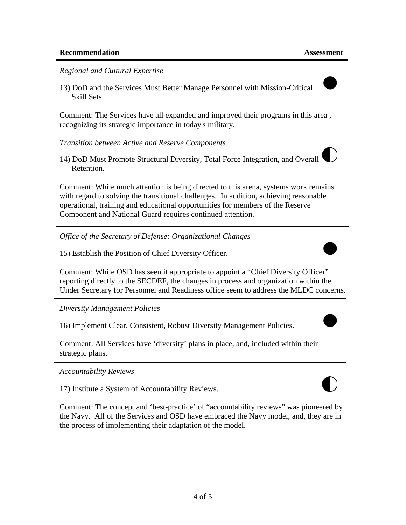#### *Regional and Cultural Expertise*

13) DoD and the Services Must Better Manage Personnel with Mission-Critical Skill Sets.

Comment: The Services have all expanded and improved their programs in this area , recognizing its strategic importance in today's military.

*Transition between Active and Reserve Components* 

14) DoD Must Promote Structural Diversity, Total Force Integration, and Overall Retention.

Comment: While much attention is being directed to this arena, systems work remains with regard to solving the transitional challenges. In addition, achieving reasonable operational, training and educational opportunities for members of the Reserve Component and National Guard requires continued attention.

*Office of the Secretary of Defense: Organizational Changes* 

15) Establish the Position of Chief Diversity Officer.

Comment: While OSD has seen it appropriate to appoint a "Chief Diversity Officer" reporting directly to the SECDEF, the changes in process and organization within the Under Secretary for Personnel and Readiness office seem to address the MLDC concerns.

*Diversity Management Policies* 

16) Implement Clear, Consistent, Robust Diversity Management Policies.

Comment: All Services have 'diversity' plans in place, and, included within their strategic plans.

*Accountability Reviews* 

17) Institute a System of Accountability Reviews.

Comment: The concept and 'best-practice' of "accountability reviews" was pioneered by the Navy. All of the Services and OSD have embraced the Navy model, and, they are in the process of implementing their adaptation of the model.